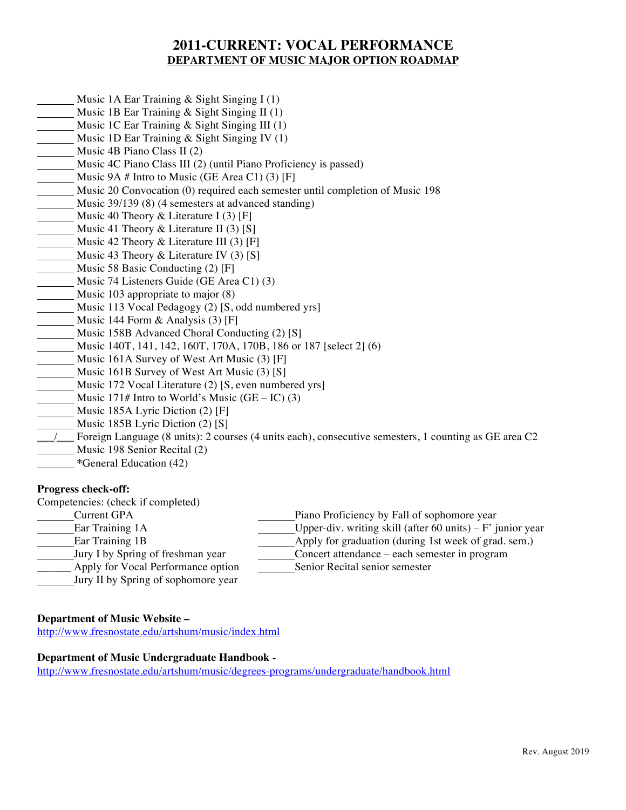# **2011-CURRENT: VOCAL PERFORMANCE DEPARTMENT OF MUSIC MAJOR OPTION ROADMAP**

- Music 1A Ear Training & Sight Singing I (1)
- Music 1B Ear Training & Sight Singing II (1)
- Music 1C Ear Training & Sight Singing III (1)
- Music 1D Ear Training & Sight Singing IV (1)
- Music 4B Piano Class II (2)
- Music 4C Piano Class III (2) (until Piano Proficiency is passed)
- Music 9A # Intro to Music (GE Area C1) (3) [F]
- Music 20 Convocation (0) required each semester until completion of Music 198
- Music 39/139 (8) (4 semesters at advanced standing)
- Music 40 Theory & Literature I  $(3)$  [F]
- Music 41 Theory & Literature II (3) [S]
- Music 42 Theory & Literature III (3) [F]
- Music 43 Theory & Literature IV (3) [S]
- Music 58 Basic Conducting (2) [F]
- Music 74 Listeners Guide (GE Area C1) (3)
- Music 103 appropriate to major (8)
- Music 113 Vocal Pedagogy (2) [S, odd numbered yrs]
- Music 144 Form & Analysis (3) [F]
- Music 158B Advanced Choral Conducting (2) [S]
- Music 140T, 141, 142, 160T, 170A, 170B, 186 or 187 [select 2] (6)
- Music 161A Survey of West Art Music (3) [F]
- Music 161B Survey of West Art Music (3) [S]
- Music 172 Vocal Literature (2) [S, even numbered yrs]
- Music 171# Intro to World's Music  $(GE IC)$  (3)
- Music 185A Lyric Diction (2) [F]
- Music 185B Lyric Diction (2) [S]
- \_\_\_/\_\_\_ Foreign Language (8 units): 2 courses (4 units each), consecutive semesters, 1 counting as GE area C2 Music 198 Senior Recital (2)
- **\***General Education (42)

## **Progress check-off:**

Competencies: (check if completed)

- Current GPA Piano Proficiency by Fall of sophomore year
- Ear Training 1A Upper-div. writing skill (after 60 units) F' junior year
- 
- Ear Training 1B and the state of the Apply for graduation (during 1st week of grad. sem.)
- Jury I by Spring of freshman year Concert attendance each semester in program
- Apply for Vocal Performance option Senior Recital senior semester
- Jury II by Spring of sophomore year

## **Department of Music Website –**

http://www.fresnostate.edu/artshum/music/index.html

# **Department of Music Undergraduate Handbook -**

http://www.fresnostate.edu/artshum/music/degrees-programs/undergraduate/handbook.html